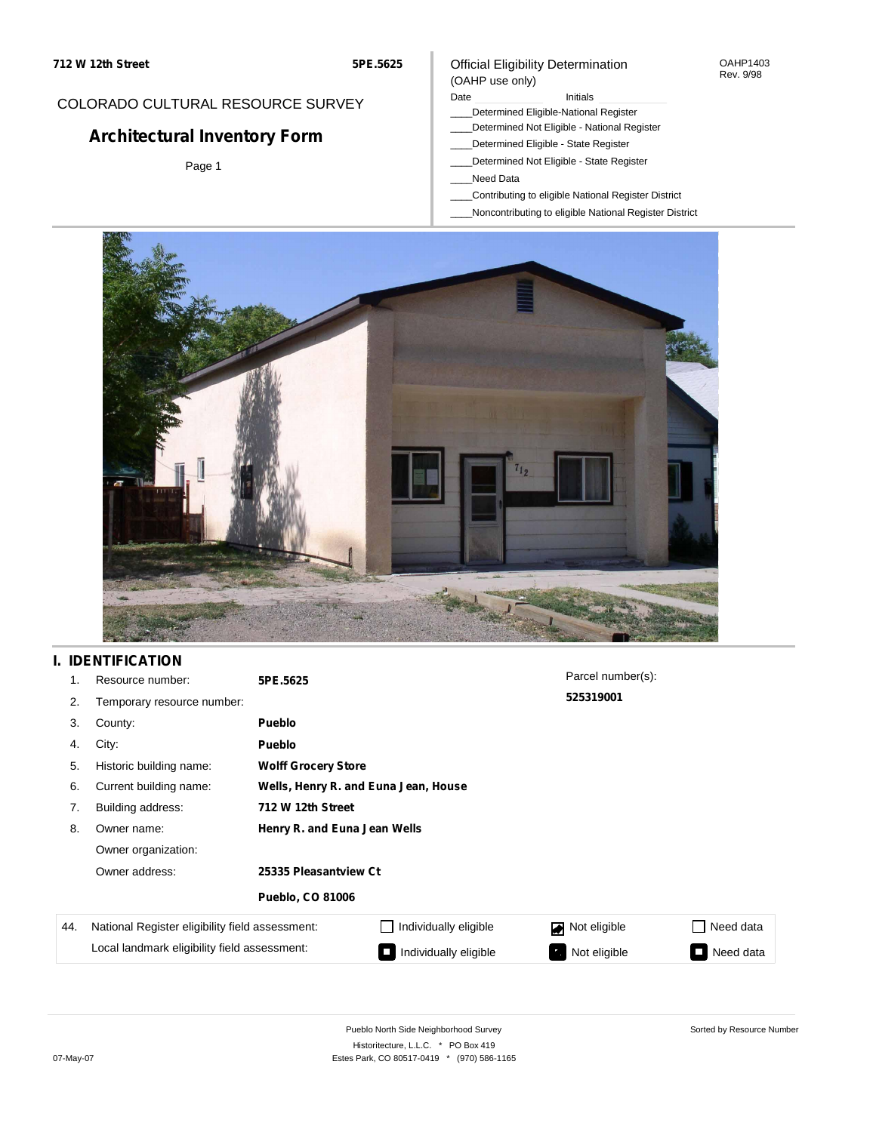### OAHP1403 Rev. 9/98

## COLORADO CULTURAL RESOURCE SURVEY

# **Architectural Inventory Form**

Page 1

## (OAHP use only) Date **Initials** Initials

Official Eligibility Determination

- \_\_\_\_Determined Eligible-National Register
- \_\_\_\_Determined Not Eligible National Register
- \_\_\_\_Determined Eligible State Register
- \_\_\_\_Determined Not Eligible State Register
- \_\_\_\_Need Data
- \_\_\_\_Contributing to eligible National Register District
- \_\_\_\_Noncontributing to eligible National Register District



## **I. IDENTIFICATION**

| 1.  | Resource number:                                | 5PE.5625                     |                                      | Parcel number(s): |                     |  |  |  |  |  |
|-----|-------------------------------------------------|------------------------------|--------------------------------------|-------------------|---------------------|--|--|--|--|--|
| 2.  | Temporary resource number:                      |                              |                                      | 525319001         |                     |  |  |  |  |  |
| 3.  | County:                                         | <b>Pueblo</b>                |                                      |                   |                     |  |  |  |  |  |
| 4.  | City:                                           | <b>Pueblo</b>                |                                      |                   |                     |  |  |  |  |  |
| 5.  | Historic building name:                         |                              | <b>Wolff Grocery Store</b>           |                   |                     |  |  |  |  |  |
| 6.  | Current building name:                          |                              | Wells, Henry R. and Euna Jean, House |                   |                     |  |  |  |  |  |
| 7.  | Building address:                               | 712 W 12th Street            |                                      |                   |                     |  |  |  |  |  |
| 8.  | Owner name:                                     | Henry R. and Euna Jean Wells |                                      |                   |                     |  |  |  |  |  |
|     | Owner organization:                             |                              |                                      |                   |                     |  |  |  |  |  |
|     | Owner address:                                  | 25335 Pleasantview Ct        |                                      |                   |                     |  |  |  |  |  |
|     |                                                 | <b>Pueblo, CO 81006</b>      |                                      |                   |                     |  |  |  |  |  |
| 44. | National Register eligibility field assessment: |                              | Individually eligible                | Not eligible      | Need data           |  |  |  |  |  |
|     | Local landmark eligibility field assessment:    |                              | Individually eligible<br>Œ           | Not eligible<br>ъ | Need data<br>$\Box$ |  |  |  |  |  |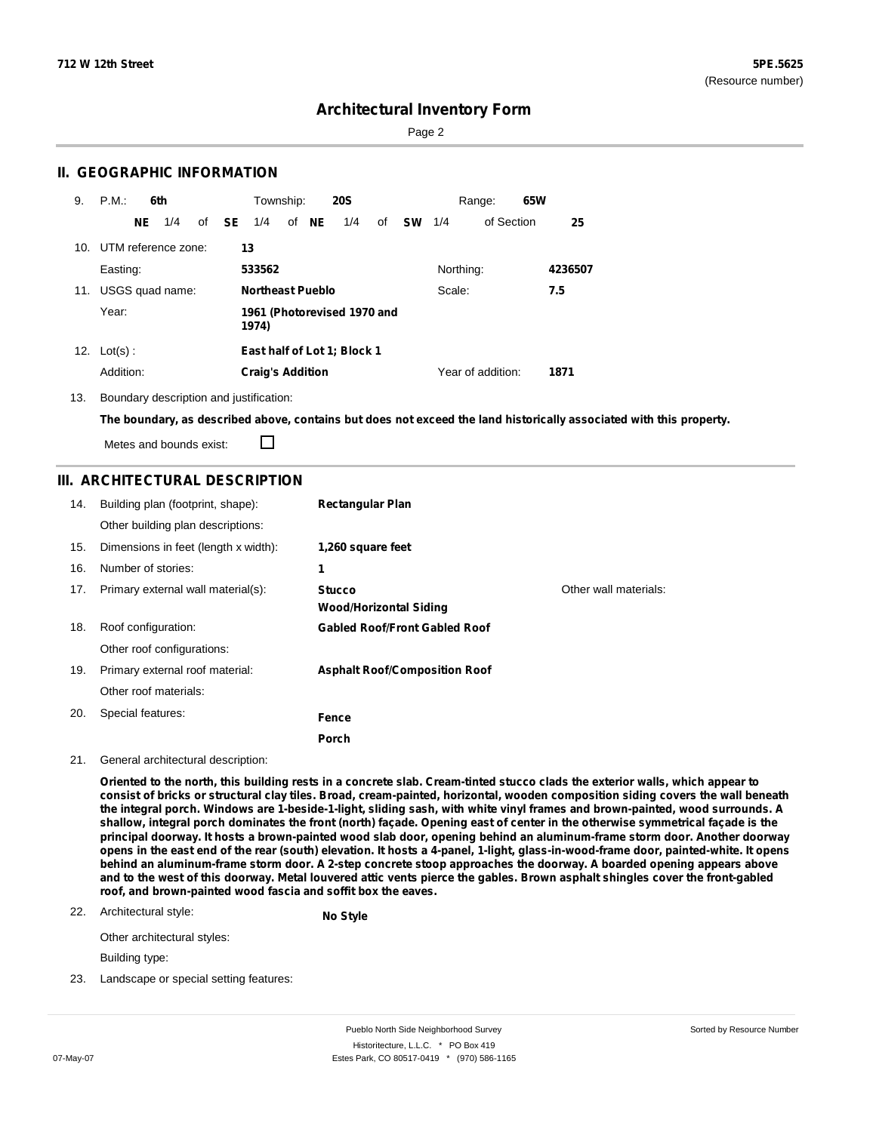Page 2

## **II. GEOGRAPHIC INFORMATION**

| 9.  | P.M.                    | 6th |                 |  |              | Township:<br><b>20S</b> |  |       |                             | 65W<br>Range: |           |           |                   |  |         |
|-----|-------------------------|-----|-----------------|--|--------------|-------------------------|--|-------|-----------------------------|---------------|-----------|-----------|-------------------|--|---------|
|     |                         | NE. | 1/4             |  | of <b>SE</b> | 1/4                     |  | of NE | 1/4                         | of            | <b>SW</b> | 1/4       | of Section        |  | 25      |
|     | 10. UTM reference zone: |     |                 |  |              | 13                      |  |       |                             |               |           |           |                   |  |         |
|     | Easting:                |     |                 |  |              | 533562                  |  |       |                             |               |           | Northing: |                   |  | 4236507 |
| 11. |                         |     | USGS quad name: |  |              | <b>Northeast Pueblo</b> |  |       |                             |               |           | Scale:    |                   |  | 7.5     |
|     | Year:                   |     |                 |  |              | 1974)                   |  |       | 1961 (Photorevised 1970 and |               |           |           |                   |  |         |
|     | 12. $Lot(s)$ :          |     |                 |  |              |                         |  |       | East half of Lot 1; Block 1 |               |           |           |                   |  |         |
|     | Addition:               |     |                 |  |              | <b>Craig's Addition</b> |  |       |                             |               |           |           | Year of addition: |  | 1871    |

13. Boundary description and justification:

The boundary, as described above, contains but does not exceed the land historically associated with this property.

Metes and bounds exist:

 $\Box$ 

## **III. ARCHITECTURAL DESCRIPTION**

| 14. | Building plan (footprint, shape):    | <b>Rectangular Plan</b>              |                       |
|-----|--------------------------------------|--------------------------------------|-----------------------|
|     | Other building plan descriptions:    |                                      |                       |
| 15. | Dimensions in feet (length x width): | 1,260 square feet                    |                       |
| 16. | Number of stories:                   | 1                                    |                       |
| 17. | Primary external wall material(s):   | <b>Stucco</b>                        | Other wall materials: |
|     |                                      | <b>Wood/Horizontal Siding</b>        |                       |
| 18. | Roof configuration:                  | <b>Gabled Roof/Front Gabled Roof</b> |                       |
|     | Other roof configurations:           |                                      |                       |
| 19. | Primary external roof material:      | <b>Asphalt Roof/Composition Roof</b> |                       |
|     | Other roof materials:                |                                      |                       |
| 20. | Special features:                    | Fence                                |                       |
|     |                                      | Porch                                |                       |

### 21. General architectural description:

Oriented to the north, this building rests in a concrete slab. Cream-tinted stucco clads the exterior walls, which appear to consist of bricks or structural clay tiles. Broad, cream-painted, horizontal, wooden composition siding covers the wall beneath the integral porch. Windows are 1-beside-1-light, sliding sash, with white vinyl frames and brown-painted, wood surrounds. A shallow, integral porch dominates the front (north) façade. Opening east of center in the otherwise symmetrical façade is the principal doorway. It hosts a brown-painted wood slab door, opening behind an aluminum-frame storm door. Another doorway opens in the east end of the rear (south) elevation. It hosts a 4-panel, 1-light, glass-in-wood-frame door, painted-white. It opens behind an aluminum-frame storm door. A 2-step concrete stoop approaches the doorway. A boarded opening appears above and to the west of this doorway. Metal louvered attic vents pierce the gables. Brown asphalt shingles cover the front-gabled **roof, and brown-painted wood fascia and soffit box the eaves.**

### 22. Architectural style:

**No Style**

Other architectural styles:

Building type:

23. Landscape or special setting features: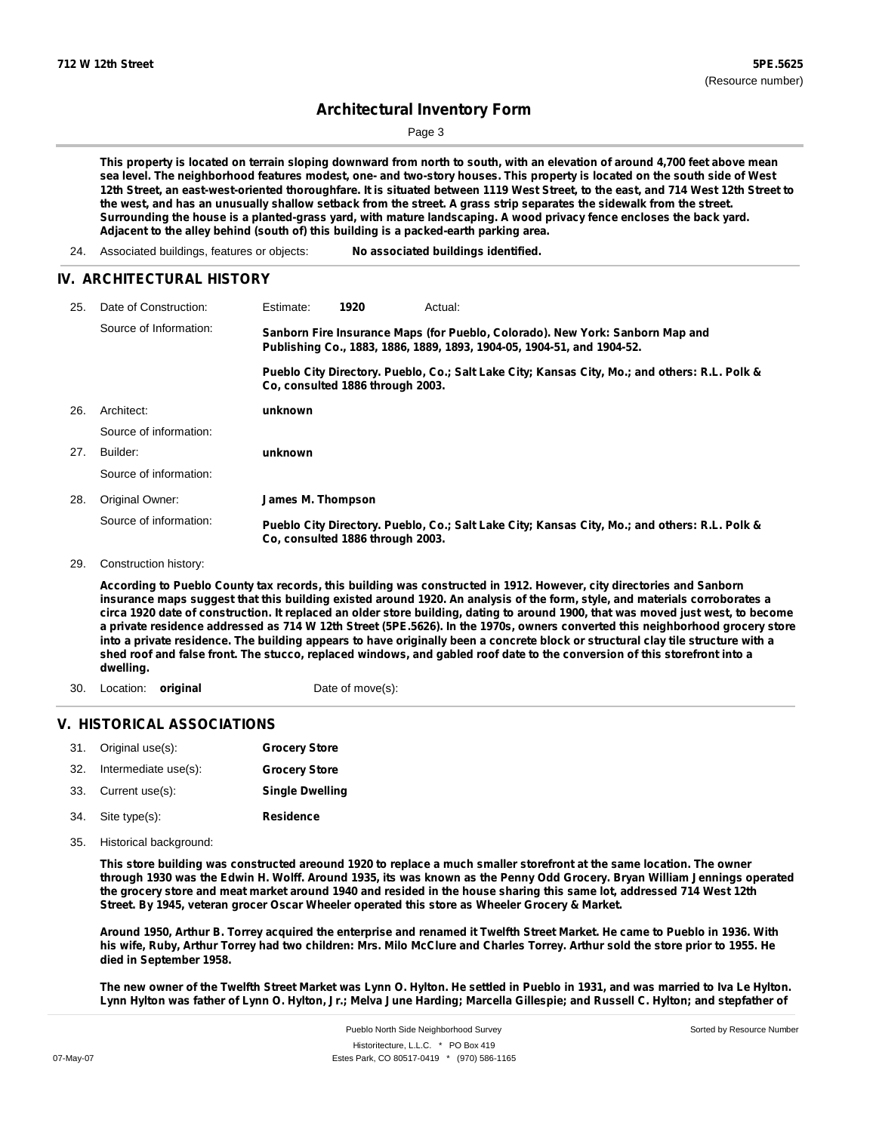Page 3

This property is located on terrain sloping downward from north to south, with an elevation of around 4,700 feet above mean sea level. The neighborhood features modest, one- and two-story houses. This property is located on the south side of West 12th Street, an east-west-oriented thoroughfare. It is situated between 1119 West Street, to the east, and 714 West 12th Street to the west, and has an unusually shallow setback from the street. A grass strip separates the sidewalk from the street. Surrounding the house is a planted-grass yard, with mature landscaping. A wood privacy fence encloses the back yard. **Adjacent to the alley behind (south of) this building is a packed-earth parking area.**

24. Associated buildings, features or objects: **No associated buildings identified.**

## **IV. ARCHITECTURAL HISTORY**

| 25. | Date of Construction:  | Estimate:                        | 1920 | Actual:                                                                                                                                                 |
|-----|------------------------|----------------------------------|------|---------------------------------------------------------------------------------------------------------------------------------------------------------|
|     | Source of Information: |                                  |      | Sanborn Fire Insurance Maps (for Pueblo, Colorado). New York: Sanborn Map and<br>Publishing Co., 1883, 1886, 1889, 1893, 1904-05, 1904-51, and 1904-52. |
|     |                        | Co. consulted 1886 through 2003. |      | Pueblo City Directory. Pueblo, Co.; Salt Lake City; Kansas City, Mo.; and others: R.L. Polk &                                                           |
| 26. | Architect:             | unknown                          |      |                                                                                                                                                         |
|     | Source of information: |                                  |      |                                                                                                                                                         |
| 27. | Builder:               | unknown                          |      |                                                                                                                                                         |
|     | Source of information: |                                  |      |                                                                                                                                                         |
| 28. | Original Owner:        | James M. Thompson                |      |                                                                                                                                                         |
|     | Source of information: | Co. consulted 1886 through 2003. |      | Pueblo City Directory. Pueblo, Co.; Salt Lake City; Kansas City, Mo.; and others: R.L. Polk &                                                           |
| 29. | Construction history:  |                                  |      |                                                                                                                                                         |

According to Pueblo County tax records, this building was constructed in 1912. However, city directories and Sanborn insurance maps suggest that this building existed around 1920. An analysis of the form, style, and materials corroborates a circa 1920 date of construction. It replaced an older store building, dating to around 1900, that was moved just west, to become a private residence addressed as 714 W 12th Street (5PE.5626). In the 1970s, owners converted this neighborhood grocery store into a private residence. The building appears to have originally been a concrete block or structural clay tile structure with a shed roof and false front. The stucco, replaced windows, and gabled roof date to the conversion of this storefront into a **dwelling.**

30. Location: **original** Date of move(s):

## **V. HISTORICAL ASSOCIATIONS**

| 31. Original use(s):     | <b>Grocery Store</b>   |
|--------------------------|------------------------|
| 32. Intermediate use(s): | <b>Grocery Store</b>   |
| 33. Current use(s):      | <b>Single Dwelling</b> |
| 34. Site type(s):        | <b>Residence</b>       |

35. Historical background:

This store building was constructed areound 1920 to replace a much smaller storefront at the same location. The owner through 1930 was the Edwin H. Wolff. Around 1935, its was known as the Penny Odd Grocery. Bryan William Jennings operated the grocery store and meat market around 1940 and resided in the house sharing this same lot, addressed 714 West 12th **Street. By 1945, veteran grocer Oscar Wheeler operated this store as Wheeler Grocery & Market.**

Around 1950, Arthur B. Torrey acquired the enterprise and renamed it Twelfth Street Market. He came to Pueblo in 1936. With his wife, Ruby, Arthur Torrey had two children: Mrs. Milo McClure and Charles Torrey. Arthur sold the store prior to 1955. He **died in September 1958.**

The new owner of the Twelfth Street Market was Lynn O. Hylton. He settled in Pueblo in 1931, and was married to Iva Le Hylton. Lynn Hylton was father of Lynn O. Hylton, Jr.; Melva June Harding; Marcella Gillespie; and Russell C. Hylton; and stepfather of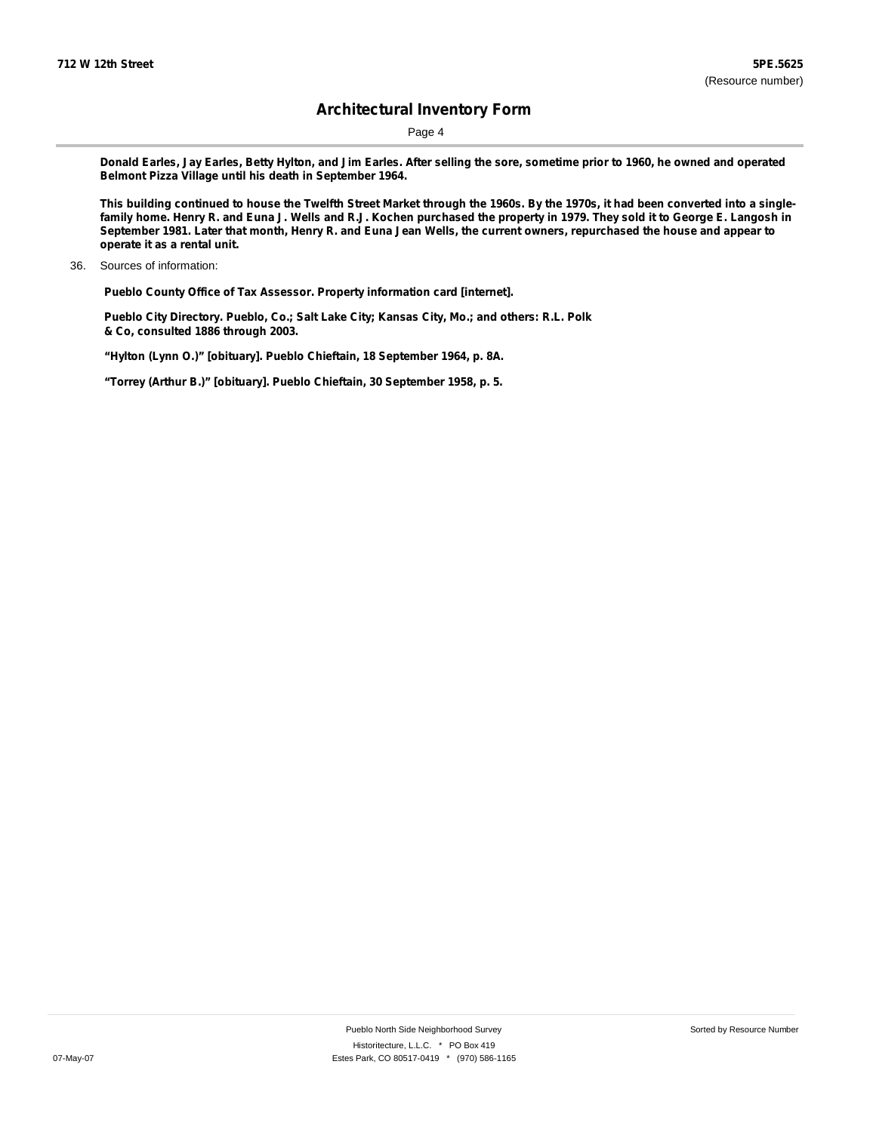Page 4

Donald Earles, Jay Earles, Betty Hylton, and Jim Earles. After selling the sore, sometime prior to 1960, he owned and operated **Belmont Pizza Village until his death in September 1964.**

This building continued to house the Twelfth Street Market through the 1960s. By the 1970s, it had been converted into a singlefamily home. Henry R. and Euna J. Wells and R.J. Kochen purchased the property in 1979. They sold it to George E. Langosh in September 1981. Later that month, Henry R. and Euna Jean Wells, the current owners, repurchased the house and appear to **operate it as a rental unit.**

**Pueblo County Office of Tax Assessor. Property information card [internet].**

**Pueblo City Directory. Pueblo, Co.; Salt Lake City; Kansas City, Mo.; and others: R.L. Polk & Co, consulted 1886 through 2003.**

**"Hylton (Lynn O.)" [obituary]. Pueblo Chieftain, 18 September 1964, p. 8A.**

**"Torrey (Arthur B.)" [obituary]. Pueblo Chieftain, 30 September 1958, p. 5.**

<sup>36.</sup> Sources of information: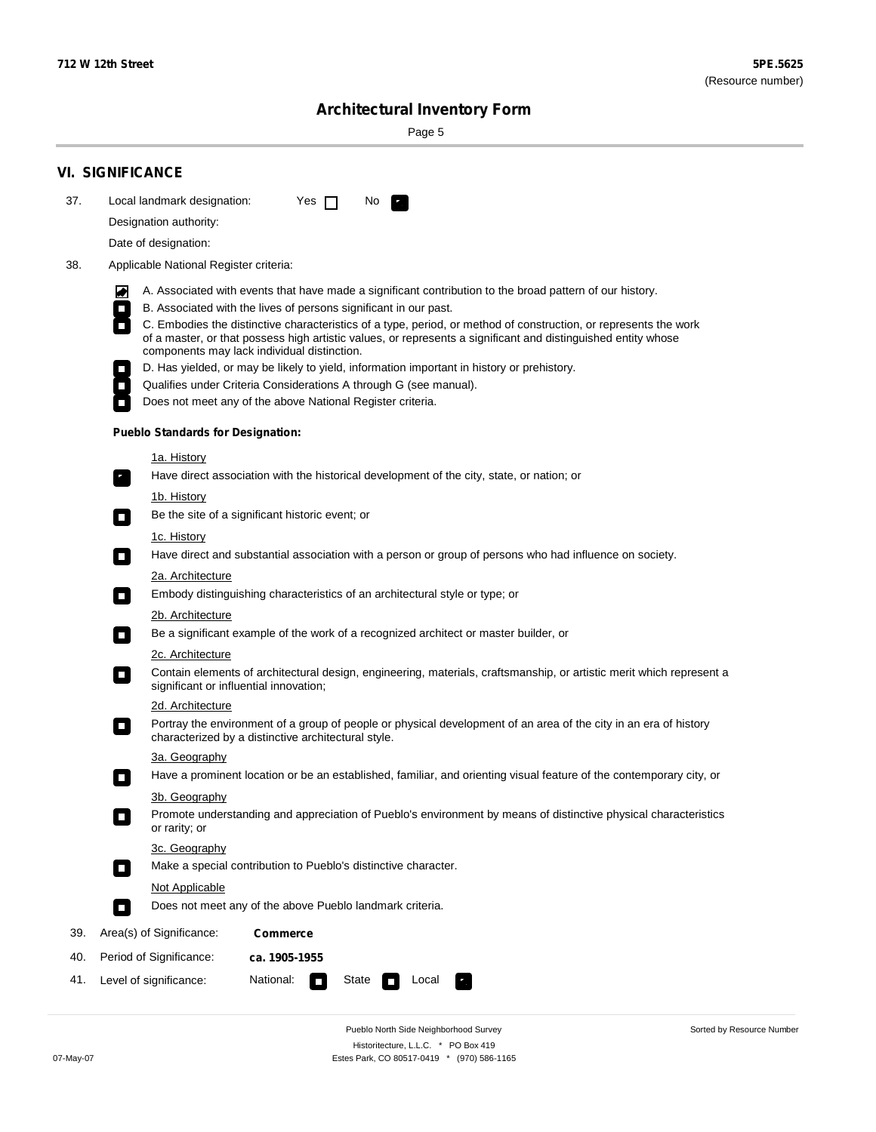Sorted by Resource Number

# **Architectural Inventory Form**

Page 5

|     | <b>VI. SIGNIFICANCE</b>                                                                                                                                                                                                                                                                                      |  |
|-----|--------------------------------------------------------------------------------------------------------------------------------------------------------------------------------------------------------------------------------------------------------------------------------------------------------------|--|
| 37. | Local landmark designation:<br>Yes $\Box$<br>No.<br>$\mathcal{P}_{\rm{in}}^{\rm{in}}$                                                                                                                                                                                                                        |  |
|     | Designation authority:                                                                                                                                                                                                                                                                                       |  |
|     | Date of designation:                                                                                                                                                                                                                                                                                         |  |
| 38. | Applicable National Register criteria:                                                                                                                                                                                                                                                                       |  |
|     | A. Associated with events that have made a significant contribution to the broad pattern of our history.<br>M                                                                                                                                                                                                |  |
|     | B. Associated with the lives of persons significant in our past.<br>$\Box$                                                                                                                                                                                                                                   |  |
|     | $\overline{\phantom{a}}$<br>C. Embodies the distinctive characteristics of a type, period, or method of construction, or represents the work<br>of a master, or that possess high artistic values, or represents a significant and distinguished entity whose<br>components may lack individual distinction. |  |
|     | D. Has yielded, or may be likely to yield, information important in history or prehistory.                                                                                                                                                                                                                   |  |
|     | Qualifies under Criteria Considerations A through G (see manual).<br>$\overline{\phantom{a}}$                                                                                                                                                                                                                |  |
|     | Does not meet any of the above National Register criteria.                                                                                                                                                                                                                                                   |  |
|     | <b>Pueblo Standards for Designation:</b>                                                                                                                                                                                                                                                                     |  |
|     | 1a. History                                                                                                                                                                                                                                                                                                  |  |
|     | Have direct association with the historical development of the city, state, or nation; or<br>$\mathbf{r}_\perp$                                                                                                                                                                                              |  |
|     | <u>1b. History</u><br>Be the site of a significant historic event; or<br>$\overline{\phantom{a}}$                                                                                                                                                                                                            |  |
|     | 1c. History<br>Have direct and substantial association with a person or group of persons who had influence on society.<br>$\overline{\phantom{a}}$                                                                                                                                                           |  |
|     | 2a. Architecture<br>Embody distinguishing characteristics of an architectural style or type; or<br>$\mathcal{L}_{\mathcal{A}}$                                                                                                                                                                               |  |
|     | 2b. Architecture                                                                                                                                                                                                                                                                                             |  |
|     | Be a significant example of the work of a recognized architect or master builder, or<br>$\mathcal{L}_{\mathcal{A}}$                                                                                                                                                                                          |  |
|     | 2c. Architecture                                                                                                                                                                                                                                                                                             |  |
|     | Contain elements of architectural design, engineering, materials, craftsmanship, or artistic merit which represent a<br>$\overline{\phantom{a}}$<br>significant or influential innovation;                                                                                                                   |  |
|     | 2d. Architecture                                                                                                                                                                                                                                                                                             |  |
|     | Portray the environment of a group of people or physical development of an area of the city in an era of history<br>$\Box$<br>characterized by a distinctive architectural style.                                                                                                                            |  |
|     | 3a. Geography                                                                                                                                                                                                                                                                                                |  |
|     | Have a prominent location or be an established, familiar, and orienting visual feature of the contemporary city, or                                                                                                                                                                                          |  |
|     | 3b. Geography                                                                                                                                                                                                                                                                                                |  |
|     | Promote understanding and appreciation of Pueblo's environment by means of distinctive physical characteristics<br>or rarity; or                                                                                                                                                                             |  |
|     | 3c. Geography                                                                                                                                                                                                                                                                                                |  |
|     | Make a special contribution to Pueblo's distinctive character.<br>$\overline{\phantom{a}}$                                                                                                                                                                                                                   |  |
|     | Not Applicable                                                                                                                                                                                                                                                                                               |  |
|     | Does not meet any of the above Pueblo landmark criteria.<br>$\Box$                                                                                                                                                                                                                                           |  |
| 39. | Area(s) of Significance:<br><b>Commerce</b>                                                                                                                                                                                                                                                                  |  |
| 40. | Period of Significance:<br>ca. 1905-1955                                                                                                                                                                                                                                                                     |  |
| 41. | National:<br>State<br>Level of significance:<br>Local                                                                                                                                                                                                                                                        |  |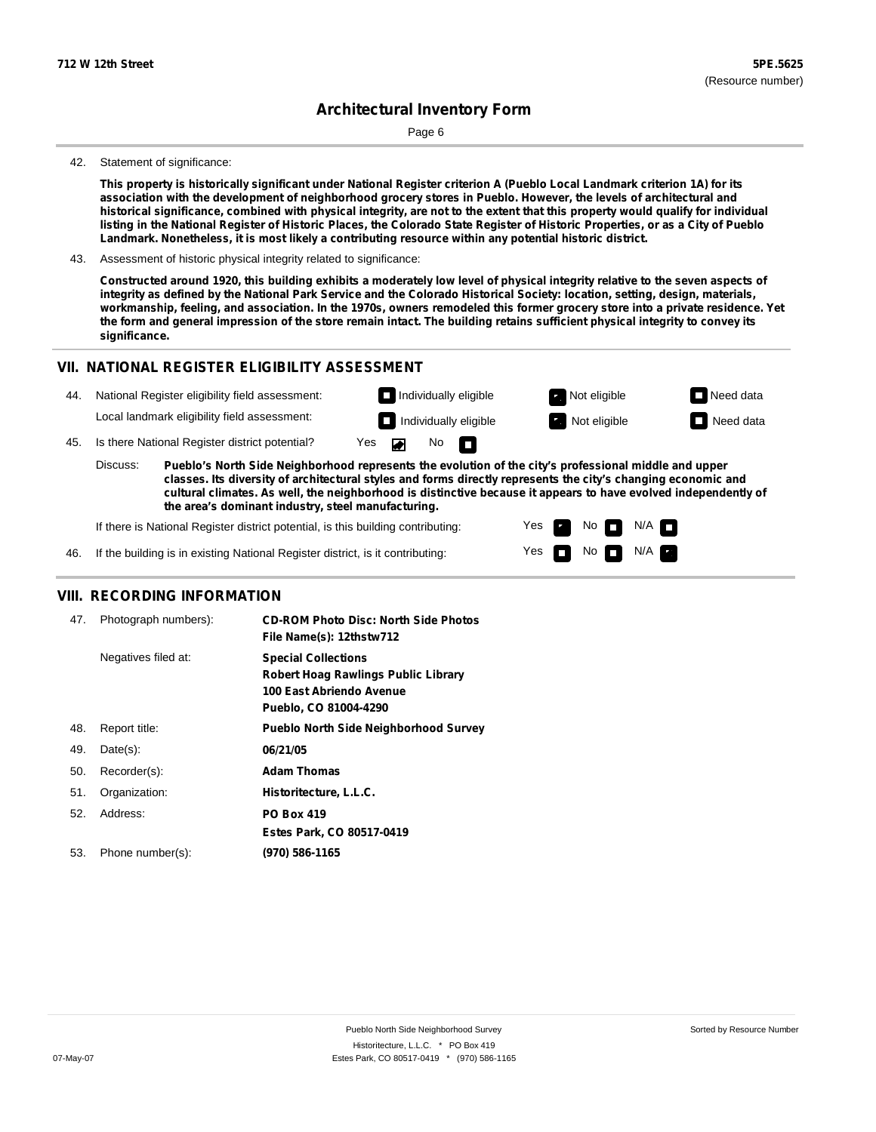Page 6

### 42. Statement of significance:

This property is historically significant under National Register criterion A (Pueblo Local Landmark criterion 1A) for its association with the development of neighborhood grocery stores in Pueblo. However, the levels of architectural and historical significance, combined with physical integrity, are not to the extent that this property would qualify for individual listing in the National Register of Historic Places, the Colorado State Register of Historic Properties, or as a City of Pueblo **Landmark. Nonetheless, it is most likely a contributing resource within any potential historic district.**

43. Assessment of historic physical integrity related to significance:

Constructed around 1920, this building exhibits a moderately low level of physical integrity relative to the seven aspects of integrity as defined by the National Park Service and the Colorado Historical Society: location, setting, design, materials, workmanship, feeling, and association. In the 1970s, owners remodeled this former grocery store into a private residence. Yet the form and general impression of the store remain intact. The building retains sufficient physical integrity to convey its **significance.**

### **VII. NATIONAL REGISTER ELIGIBILITY ASSESSMENT**

| 44. | National Register eligibility field assessment:                                                                                                                                                                                    |     |  |                   |  | $\Box$ Individually eligible | Not eligible          | $\Box$ Need data |
|-----|------------------------------------------------------------------------------------------------------------------------------------------------------------------------------------------------------------------------------------|-----|--|-------------------|--|------------------------------|-----------------------|------------------|
|     | Local landmark eligibility field assessment:                                                                                                                                                                                       |     |  |                   |  | $\Box$ Individually eligible | <b>R</b> Not eligible | Need data        |
| 45. | Is there National Register district potential?                                                                                                                                                                                     | Yes |  | No $\blacksquare$ |  |                              |                       |                  |
|     | Discuss:<br>Pueblo's North Side Neighborhood represents the evolution of the city's professional middle and upper<br>classes. Its diversity of architectural styles and forms directly represents the city's changing economic and |     |  |                   |  |                              |                       |                  |

**classes. Its diversity of architectural styles and forms directly represents the city's changing economic and cultural climates. As well, the neighborhood is distinctive because it appears to have evolved independently of the area's dominant industry, steel manufacturing.**

> Yes Yes

No<sub>I</sub>

No  $\blacksquare$  N/A  $\blacksquare$ 

 $N/A$ 

If there is National Register district potential, is this building contributing:

46. If the building is in existing National Register district, is it contributing:

## **VIII. RECORDING INFORMATION**

| 47. | Photograph numbers): | <b>CD-ROM Photo Disc: North Side Photos</b><br>File Name(s): 12thstw712                                                       |
|-----|----------------------|-------------------------------------------------------------------------------------------------------------------------------|
|     | Negatives filed at:  | <b>Special Collections</b><br><b>Robert Hoag Rawlings Public Library</b><br>100 East Abriendo Avenue<br>Pueblo, CO 81004-4290 |
| 48. | Report title:        | <b>Pueblo North Side Neighborhood Survey</b>                                                                                  |
| 49. | $Date(s)$ :          | 06/21/05                                                                                                                      |
| 50. | Recorder(s):         | <b>Adam Thomas</b>                                                                                                            |
| 51. | Organization:        | Historitecture, L.L.C.                                                                                                        |
| 52. | Address:             | <b>PO Box 419</b>                                                                                                             |
|     |                      | Estes Park, CO 80517-0419                                                                                                     |
| 53. | Phone number(s):     | (970) 586-1165                                                                                                                |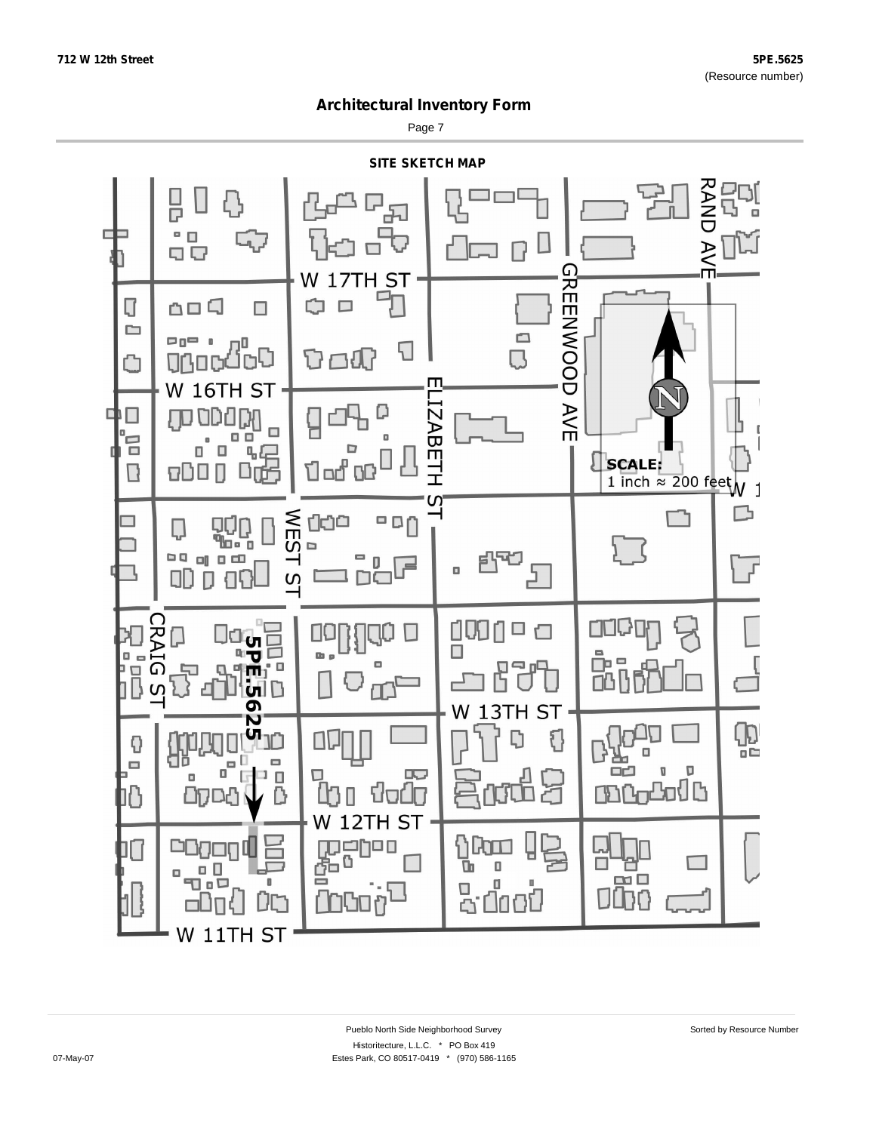Page 7